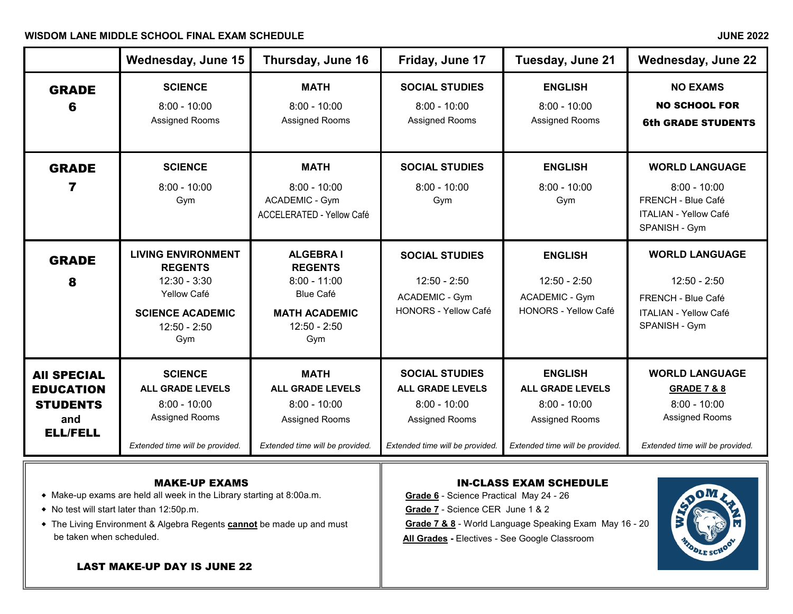### WISDOM LANE MIDDLE SCHOOL FINAL EXAM SCHEDULE **All and the set of the set of the set of the set of the set of the set of the set of the set of the set of the set of the set of the set of the set of the set of the set of th**

|                                                                                     | Wednesday, June 15                                                                                                               | Thursday, June 16                                                                                                        | Friday, June 17                                                                                                         | Tuesday, June 21                                                                                                 | <b>Wednesday, June 22</b>                                                                                                     |
|-------------------------------------------------------------------------------------|----------------------------------------------------------------------------------------------------------------------------------|--------------------------------------------------------------------------------------------------------------------------|-------------------------------------------------------------------------------------------------------------------------|------------------------------------------------------------------------------------------------------------------|-------------------------------------------------------------------------------------------------------------------------------|
| <b>GRADE</b><br>ĥ                                                                   | <b>SCIENCE</b><br>$8:00 - 10:00$<br>Assigned Rooms                                                                               | <b>MATH</b><br>$8:00 - 10:00$<br>Assigned Rooms                                                                          | <b>SOCIAL STUDIES</b><br>$8:00 - 10:00$<br>Assigned Rooms                                                               | <b>ENGLISH</b><br>$8:00 - 10:00$<br>Assigned Rooms                                                               | <b>NO EXAMS</b><br><b>NO SCHOOL FOR</b><br><b>6th GRADE STUDENTS</b>                                                          |
| <b>GRADE</b><br>7                                                                   | <b>SCIENCE</b><br>$8:00 - 10:00$<br>Gym                                                                                          | <b>MATH</b><br>$8:00 - 10:00$<br><b>ACADEMIC - Gym</b><br><b>ACCELERATED - Yellow Café</b>                               | <b>SOCIAL STUDIES</b><br>$8:00 - 10:00$<br>Gym                                                                          | <b>ENGLISH</b><br>$8:00 - 10:00$<br>Gym                                                                          | <b>WORLD LANGUAGE</b><br>$8:00 - 10:00$<br>FRENCH - Blue Café<br><b>ITALIAN - Yellow Café</b><br>SPANISH - Gym                |
| <b>GRADE</b><br>8                                                                   | <b>LIVING ENVIRONMENT</b><br><b>REGENTS</b><br>$12:30 - 3:30$<br>Yellow Café<br><b>SCIENCE ACADEMIC</b><br>$12:50 - 2:50$<br>Gym | <b>ALGEBRAI</b><br><b>REGENTS</b><br>$8:00 - 11:00$<br><b>Blue Café</b><br><b>MATH ACADEMIC</b><br>$12:50 - 2:50$<br>Gym | <b>SOCIAL STUDIES</b><br>$12:50 - 2:50$<br><b>ACADEMIC - Gym</b><br><b>HONORS - Yellow Café</b>                         | <b>ENGLISH</b><br>$12:50 - 2:50$<br><b>ACADEMIC - Gym</b><br><b>HONORS - Yellow Café</b>                         | <b>WORLD LANGUAGE</b><br>$12:50 - 2:50$<br>FRENCH - Blue Café<br><b>ITALIAN - Yellow Café</b><br>SPANISH - Gym                |
| <b>AII SPECIAL</b><br><b>EDUCATION</b><br><b>STUDENTS</b><br>and<br><b>ELL/FELL</b> | <b>SCIENCE</b><br><b>ALL GRADE LEVELS</b><br>$8:00 - 10:00$<br><b>Assigned Rooms</b><br>Extended time will be provided.          | <b>MATH</b><br><b>ALL GRADE LEVELS</b><br>$8:00 - 10:00$<br>Assigned Rooms<br>Extended time will be provided.            | <b>SOCIAL STUDIES</b><br><b>ALL GRADE LEVELS</b><br>$8:00 - 10:00$<br>Assigned Rooms<br>Extended time will be provided. | <b>ENGLISH</b><br><b>ALL GRADE LEVELS</b><br>$8:00 - 10:00$<br>Assigned Rooms<br>Extended time will be provided. | <b>WORLD LANGUAGE</b><br><b>GRADE 7 &amp; 8</b><br>$8:00 - 10:00$<br><b>Assigned Rooms</b><br>Extended time will be provided. |
|                                                                                     |                                                                                                                                  |                                                                                                                          |                                                                                                                         |                                                                                                                  |                                                                                                                               |

 $\bullet$  Make-up exams are held all week in the Library starting at 8:00a.m.

LAST MAKE-UP DAY IS JUNE 22

- 
- ◆ The Living Environment & Algebra Regents **cannot** be made up and must **Grade 7 & 8** World Language Speaking Exam May 16 20 be taken when scheduled. **All Grades -** Electives - See Google Classroom

# **MAKE-UP EXAMS**<br>all week in the Library starting at 8:00a.m.<br>**Grade 6** - Science Practical May 24 - 26

◆ No test will start later than 12:50p.m. **Grade 7** - Science CER June 1 & 2